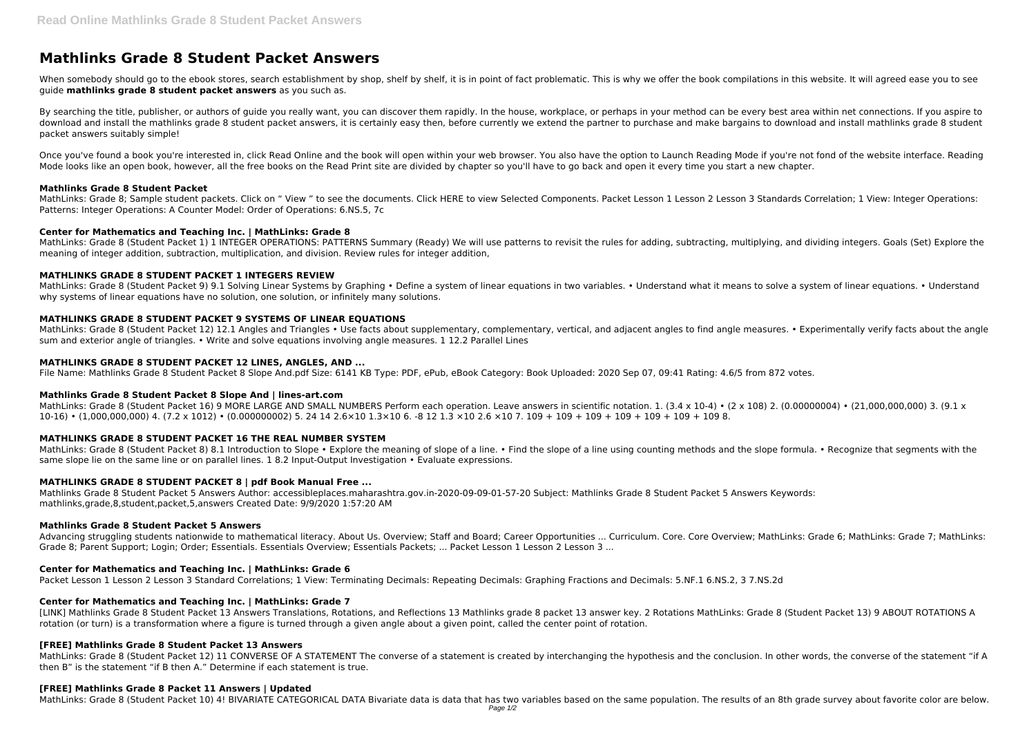# **Mathlinks Grade 8 Student Packet Answers**

When somebody should go to the ebook stores, search establishment by shop, shelf by shelf, it is in point of fact problematic. This is why we offer the book compilations in this website. It will agreed ease you to see guide **mathlinks grade 8 student packet answers** as you such as.

By searching the title, publisher, or authors of quide you really want, you can discover them rapidly. In the house, workplace, or perhaps in your method can be every best area within net connections. If you aspire to download and install the mathlinks grade 8 student packet answers, it is certainly easy then, before currently we extend the partner to purchase and make bargains to download and install mathlinks grade 8 student packet answers suitably simple!

Once you've found a book you're interested in, click Read Online and the book will open within your web browser. You also have the option to Launch Reading Mode if you're not fond of the website interface. Reading Mode looks like an open book, however, all the free books on the Read Print site are divided by chapter so you'll have to go back and open it every time you start a new chapter.

MathLinks: Grade 8; Sample student packets. Click on " View " to see the documents. Click HERE to view Selected Components. Packet Lesson 1 Lesson 2 Lesson 3 Standards Correlation; 1 View: Integer Operations: Patterns: Integer Operations: A Counter Model: Order of Operations: 6.NS.5, 7c

MathLinks: Grade 8 (Student Packet 9) 9.1 Solving Linear Systems by Graphing • Define a system of linear equations in two variables. • Understand what it means to solve a system of linear equations. • Understand why systems of linear equations have no solution, one solution, or infinitely many solutions.

#### **Mathlinks Grade 8 Student Packet**

MathLinks: Grade 8 (Student Packet 12) 12.1 Angles and Triangles • Use facts about supplementary, complementary, vertical, and adjacent angles to find angle measures. • Experimentally verify facts about the angle sum and exterior angle of triangles. • Write and solve equations involving angle measures. 1 12.2 Parallel Lines

# **Center for Mathematics and Teaching Inc. | MathLinks: Grade 8**

MathLinks: Grade 8 (Student Packet 16) 9 MORE LARGE AND SMALL NUMBERS Perform each operation. Leave answers in scientific notation. 1. (3.4 x 10-4) • (2 x 108) 2. (0.00000004) • (21.000.000.000) 3. (9.1 x 10-16) • (1,000,000,000) 4. (7.2 x 1012) • (0.000000002) 5. 24 14 2.6×10 1.3×10 6. -8 12 1.3 ×10 2.6 ×10 7. 109 + 109 + 109 + 109 + 109 + 109 + 109 8.

MathLinks: Grade 8 (Student Packet 1) 1 INTEGER OPERATIONS: PATTERNS Summary (Ready) We will use patterns to revisit the rules for adding, subtracting, multiplying, and dividing integers. Goals (Set) Explore the meaning of integer addition, subtraction, multiplication, and division. Review rules for integer addition,

MathLinks: Grade 8 (Student Packet 8) 8.1 Introduction to Slope • Explore the meaning of slope of a line. • Find the slope of a line using counting methods and the slope formula. • Recognize that segments with the same slope lie on the same line or on parallel lines. 1 8.2 Input-Output Investigation • Evaluate expressions.

# **MATHLINKS GRADE 8 STUDENT PACKET 1 INTEGERS REVIEW**

# **MATHLINKS GRADE 8 STUDENT PACKET 9 SYSTEMS OF LINEAR EQUATIONS**

MathLinks: Grade 8 (Student Packet 12) 11 CONVERSE OF A STATEMENT The converse of a statement is created by interchanging the hypothesis and the conclusion. In other words, the converse of the statement "if A then B" is the statement "if B then A." Determine if each statement is true.

# **MATHLINKS GRADE 8 STUDENT PACKET 12 LINES, ANGLES, AND ...**

File Name: Mathlinks Grade 8 Student Packet 8 Slope And.pdf Size: 6141 KB Type: PDF, ePub, eBook Category: Book Uploaded: 2020 Sep 07, 09:41 Rating: 4.6/5 from 872 votes.

#### **Mathlinks Grade 8 Student Packet 8 Slope And | lines-art.com**

#### **MATHLINKS GRADE 8 STUDENT PACKET 16 THE REAL NUMBER SYSTEM**

#### **MATHLINKS GRADE 8 STUDENT PACKET 8 | pdf Book Manual Free ...**

Mathlinks Grade 8 Student Packet 5 Answers Author: accessibleplaces.maharashtra.gov.in-2020-09-09-01-57-20 Subject: Mathlinks Grade 8 Student Packet 5 Answers Keywords: mathlinks,grade,8,student,packet,5,answers Created Date: 9/9/2020 1:57:20 AM

#### **Mathlinks Grade 8 Student Packet 5 Answers**

Advancing struggling students nationwide to mathematical literacy. About Us. Overview; Staff and Board; Career Opportunities ... Curriculum. Core. Core Overview; MathLinks: Grade 6; MathLinks: Grade 7; MathLinks: Grade 8; Parent Support; Login; Order; Essentials. Essentials Overview; Essentials Packets; ... Packet Lesson 1 Lesson 2 Lesson 3 ...

# **Center for Mathematics and Teaching Inc. | MathLinks: Grade 6**

Packet Lesson 1 Lesson 2 Lesson 3 Standard Correlations; 1 View: Terminating Decimals: Repeating Decimals: Graphing Fractions and Decimals: 5.NF.1 6.NS.2, 3 7.NS.2d

#### **Center for Mathematics and Teaching Inc. | MathLinks: Grade 7**

[LINK] Mathlinks Grade 8 Student Packet 13 Answers Translations, Rotations, and Reflections 13 Mathlinks grade 8 packet 13 answer key. 2 Rotations MathLinks: Grade 8 (Student Packet 13) 9 ABOUT ROTATIONS A rotation (or turn) is a transformation where a figure is turned through a given angle about a given point, called the center point of rotation.

#### **[FREE] Mathlinks Grade 8 Student Packet 13 Answers**

#### **[FREE] Mathlinks Grade 8 Packet 11 Answers | Updated**

MathLinks: Grade 8 (Student Packet 10) 4! BIVARIATE CATEGORICAL DATA Bivariate data is data that has two variables based on the same population. The results of an 8th grade survey about favorite color are below.